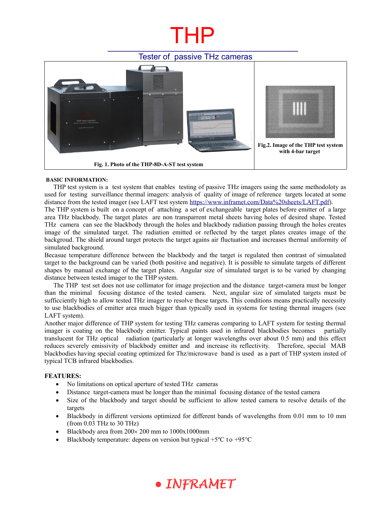# THP

### Tester of passive THz cameras



#### **BASIC INFORMATION:**

THP test system is a test system that enables testing of passive THz imagers using the same methodoloty as used for testing surveillance thermal imagers: analysis of quality of image of reference targets located at some distance from the tested imager (see LAFT test system [https://www.inframet.com/Data%20sheets/LAFT.pdf\)](https://www.inframet.com/Data%20sheets/LAFT.pdf).

The THP system is built on a concept of attaching a set of exchangeable target plates before emitter of a large area THz blackbody. The target plates are non transparrent metal sheets having holes of desired shape. Tested THz camera can see the blackbody through the holes and blackbody radiation passing through the holes creates image of the simulated target. The radiation emitted or reflected by the target plates creates image of the backgroud. The shield around target protects the target agains air fluctuation and increases thermal uniformity of simulated background.

Becasue temperature difference between the blackbody and the target is regulated then contrast of simualated target to the background can be varied (both positive and negative). It is possible to simulate targets of different shapes by manual exchange of the target plates. Angular size of simulated target is to be varied by changing distance between tested imager to the THP system.

The THP test set does not use collimator for image projection and the distance target-camera must be longer than the minimal focusing distance of the tested camera. Next, angular size of simulated targets must be sufficciently high to allow tested THz imager to resolve these targets. This conditions means practically necessity to use blackbodies of emitter area much bigger than typically used in systems for testing thermal imagers (see LAFT system).

Another major difference of THP system for testing THz cameras comparing to LAFT system for testing thermal imager is coating on the blackbody emitter. Typical paints used in infrared blackbodies becomes partially translucent for THz optical radiation (particularly at longer wavelengths over about 0.5 mm) and this effect reduces severely emissivity of blackbody emitter and and increase its reflectivity. Therefore, special MAB blackbodies having special coating optimized for Thz/microwave band is used as a part of THP system insted of typical TCB infrared blackbodies.

### **FEATURES:**

- No limitations on optical aperture of tested THz cameras
- Distance target-camera must be longer than the minimal focusing distance of the tested camera
- Size of the blackbody and target should be sufficient to allow tested camera to resolve details of the targets
- Blackbody in different versions optimized for different bands of wavelengths from 0.01 mm to 10 mm (from 0.03 THz to 30 THz)
- $\bullet$  Blackbody area from 200 $\times$  200 mm to 1000 $\times$ 1000mm
- Blackbody temperature: depens on version but typical  $+5^{\circ}$ C to  $+95^{\circ}$ C